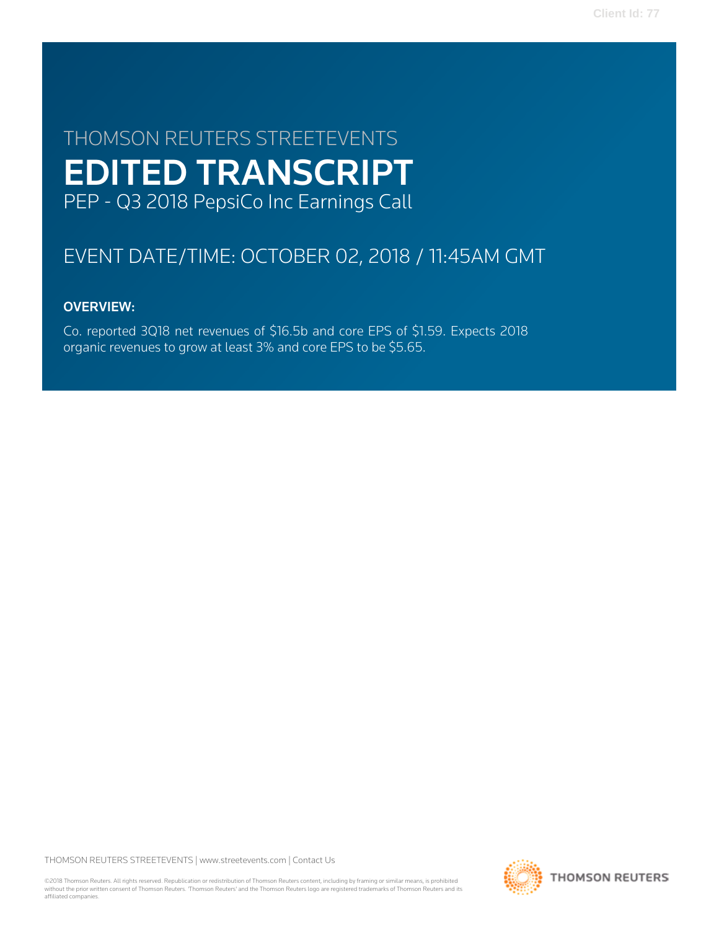# THOMSON REUTERS STREETEVENTS EDITED TRANSCRIPT PEP - Q3 2018 PepsiCo Inc Earnings Call

# EVENT DATE/TIME: OCTOBER 02, 2018 / 11:45AM GMT

# OVERVIEW:

Co. reported 3Q18 net revenues of \$16.5b and core EPS of \$1.59. Expects 2018 organic revenues to grow at least 3% and core EPS to be \$5.65.

THOMSON REUTERS STREETEVENTS | [www.streetevents.com](http://www.streetevents.com) | [Contact Us](http://www010.streetevents.com/contact.asp)

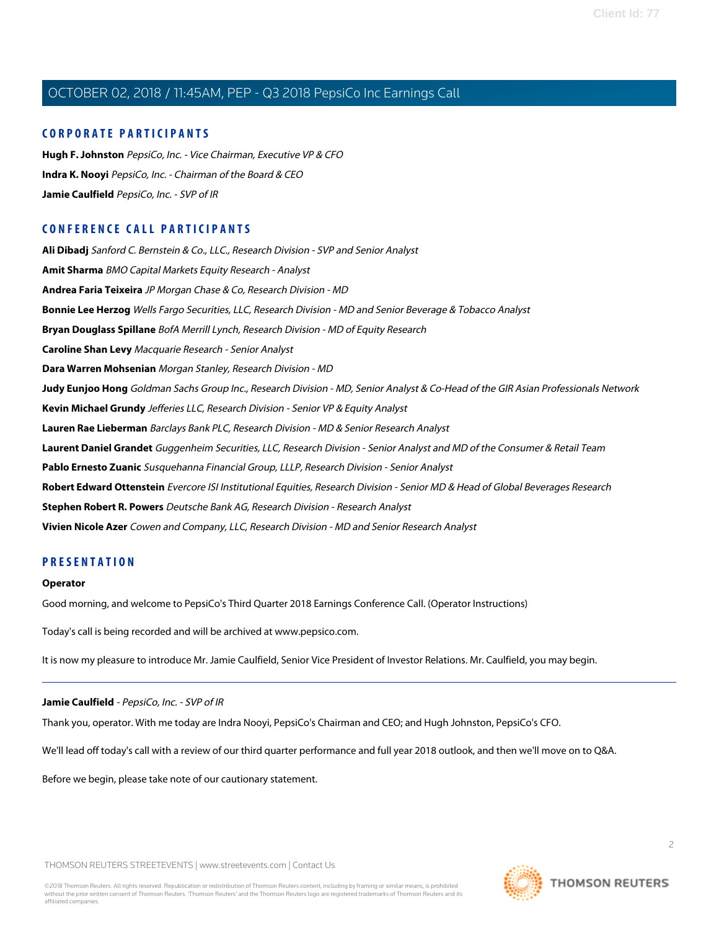### **CORPORATE PARTICIPANTS**

**[Hugh F. Johnston](#page-4-0)** PepsiCo, Inc. - Vice Chairman, Executive VP & CFO **[Indra K. Nooyi](#page-2-0)** PepsiCo, Inc. - Chairman of the Board & CEO **[Jamie Caulfield](#page-1-0)** PepsiCo, Inc. - SVP of IR

# **CONFERENCE CALL PARTICIPANTS**

**[Ali Dibadj](#page-7-0)** Sanford C. Bernstein & Co., LLC., Research Division - SVP and Senior Analyst **[Amit Sharma](#page-13-0)** BMO Capital Markets Equity Research - Analyst **[Andrea Faria Teixeira](#page-11-0)** JP Morgan Chase & Co, Research Division - MD **[Bonnie Lee Herzog](#page-10-0)** Wells Fargo Securities, LLC, Research Division - MD and Senior Beverage & Tobacco Analyst **[Bryan Douglass Spillane](#page-6-0)** BofA Merrill Lynch, Research Division - MD of Equity Research **[Caroline Shan Levy](#page-10-1)** Macquarie Research - Senior Analyst **[Dara Warren Mohsenian](#page-5-0)** Morgan Stanley, Research Division - MD **[Judy Eunjoo Hong](#page-9-0)** Goldman Sachs Group Inc., Research Division - MD, Senior Analyst & Co-Head of the GIR Asian Professionals Network **[Kevin Michael Grundy](#page-6-1)** Jefferies LLC, Research Division - Senior VP & Equity Analyst **[Lauren Rae Lieberman](#page-9-1)** Barclays Bank PLC, Research Division - MD & Senior Research Analyst **[Laurent Daniel Grandet](#page-14-0)** Guggenheim Securities, LLC, Research Division - Senior Analyst and MD of the Consumer & Retail Team **[Pablo Ernesto Zuanic](#page-13-1)** Susquehanna Financial Group, LLLP, Research Division - Senior Analyst **[Robert Edward Ottenstein](#page-14-1)** Evercore ISI Institutional Equities, Research Division - Senior MD & Head of Global Beverages Research **[Stephen Robert R. Powers](#page-11-1)** Deutsche Bank AG, Research Division - Research Analyst **[Vivien Nicole Azer](#page-12-0)** Cowen and Company, LLC, Research Division - MD and Senior Research Analyst

# **PRESENTATION**

#### **Operator**

Good morning, and welcome to PepsiCo's Third Quarter 2018 Earnings Conference Call. (Operator Instructions)

<span id="page-1-0"></span>Today's call is being recorded and will be archived at www.pepsico.com.

It is now my pleasure to introduce Mr. Jamie Caulfield, Senior Vice President of Investor Relations. Mr. Caulfield, you may begin.

#### **Jamie Caulfield** - PepsiCo, Inc. - SVP of IR

Thank you, operator. With me today are Indra Nooyi, PepsiCo's Chairman and CEO; and Hugh Johnston, PepsiCo's CFO.

We'll lead off today's call with a review of our third quarter performance and full year 2018 outlook, and then we'll move on to Q&A.

Before we begin, please take note of our cautionary statement.

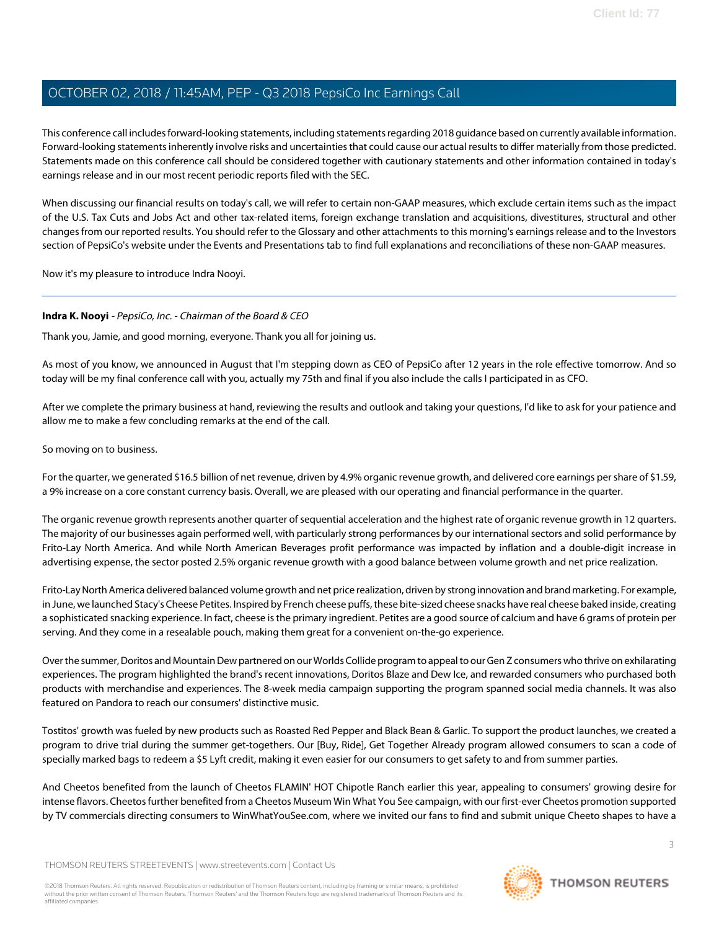This conference call includes forward-looking statements, including statements regarding 2018 guidance based on currently available information. Forward-looking statements inherently involve risks and uncertainties that could cause our actual results to differ materially from those predicted. Statements made on this conference call should be considered together with cautionary statements and other information contained in today's earnings release and in our most recent periodic reports filed with the SEC.

When discussing our financial results on today's call, we will refer to certain non-GAAP measures, which exclude certain items such as the impact of the U.S. Tax Cuts and Jobs Act and other tax-related items, foreign exchange translation and acquisitions, divestitures, structural and other changes from our reported results. You should refer to the Glossary and other attachments to this morning's earnings release and to the Investors section of PepsiCo's website under the Events and Presentations tab to find full explanations and reconciliations of these non-GAAP measures.

<span id="page-2-0"></span>Now it's my pleasure to introduce Indra Nooyi.

# **Indra K. Nooyi** - PepsiCo, Inc. - Chairman of the Board & CEO

Thank you, Jamie, and good morning, everyone. Thank you all for joining us.

As most of you know, we announced in August that I'm stepping down as CEO of PepsiCo after 12 years in the role effective tomorrow. And so today will be my final conference call with you, actually my 75th and final if you also include the calls I participated in as CFO.

After we complete the primary business at hand, reviewing the results and outlook and taking your questions, I'd like to ask for your patience and allow me to make a few concluding remarks at the end of the call.

### So moving on to business.

For the quarter, we generated \$16.5 billion of net revenue, driven by 4.9% organic revenue growth, and delivered core earnings per share of \$1.59, a 9% increase on a core constant currency basis. Overall, we are pleased with our operating and financial performance in the quarter.

The organic revenue growth represents another quarter of sequential acceleration and the highest rate of organic revenue growth in 12 quarters. The majority of our businesses again performed well, with particularly strong performances by our international sectors and solid performance by Frito-Lay North America. And while North American Beverages profit performance was impacted by inflation and a double-digit increase in advertising expense, the sector posted 2.5% organic revenue growth with a good balance between volume growth and net price realization.

Frito-Lay North America delivered balanced volume growth and net price realization, driven by strong innovation and brand marketing. For example, in June, we launched Stacy's Cheese Petites. Inspired by French cheese puffs, these bite-sized cheese snacks have real cheese baked inside, creating a sophisticated snacking experience. In fact, cheese is the primary ingredient. Petites are a good source of calcium and have 6 grams of protein per serving. And they come in a resealable pouch, making them great for a convenient on-the-go experience.

Over the summer, Doritos and Mountain Dew partnered on our Worlds Collide program to appeal to our Gen Z consumers who thrive on exhilarating experiences. The program highlighted the brand's recent innovations, Doritos Blaze and Dew Ice, and rewarded consumers who purchased both products with merchandise and experiences. The 8-week media campaign supporting the program spanned social media channels. It was also featured on Pandora to reach our consumers' distinctive music.

Tostitos' growth was fueled by new products such as Roasted Red Pepper and Black Bean & Garlic. To support the product launches, we created a program to drive trial during the summer get-togethers. Our [Buy, Ride], Get Together Already program allowed consumers to scan a code of specially marked bags to redeem a \$5 Lyft credit, making it even easier for our consumers to get safety to and from summer parties.

And Cheetos benefited from the launch of Cheetos FLAMIN' HOT Chipotle Ranch earlier this year, appealing to consumers' growing desire for intense flavors. Cheetos further benefited from a Cheetos Museum Win What You See campaign, with our first-ever Cheetos promotion supported by TV commercials directing consumers to WinWhatYouSee.com, where we invited our fans to find and submit unique Cheeto shapes to have a

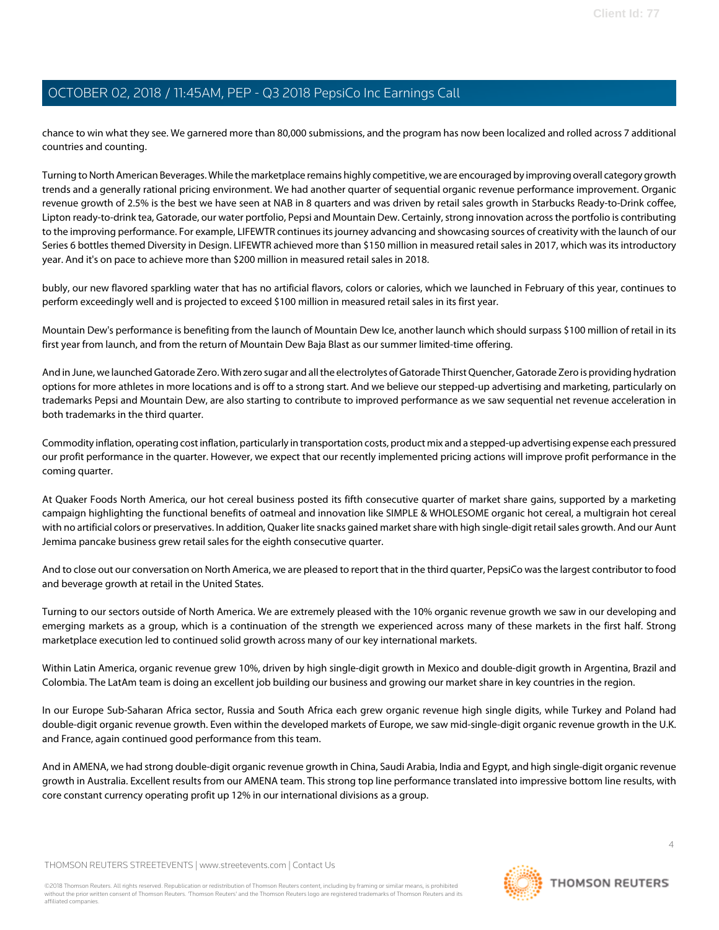chance to win what they see. We garnered more than 80,000 submissions, and the program has now been localized and rolled across 7 additional countries and counting.

Turning to North American Beverages. While the marketplace remains highly competitive, we are encouraged by improving overall category growth trends and a generally rational pricing environment. We had another quarter of sequential organic revenue performance improvement. Organic revenue growth of 2.5% is the best we have seen at NAB in 8 quarters and was driven by retail sales growth in Starbucks Ready-to-Drink coffee, Lipton ready-to-drink tea, Gatorade, our water portfolio, Pepsi and Mountain Dew. Certainly, strong innovation across the portfolio is contributing to the improving performance. For example, LIFEWTR continues its journey advancing and showcasing sources of creativity with the launch of our Series 6 bottles themed Diversity in Design. LIFEWTR achieved more than \$150 million in measured retail sales in 2017, which was its introductory year. And it's on pace to achieve more than \$200 million in measured retail sales in 2018.

bubly, our new flavored sparkling water that has no artificial flavors, colors or calories, which we launched in February of this year, continues to perform exceedingly well and is projected to exceed \$100 million in measured retail sales in its first year.

Mountain Dew's performance is benefiting from the launch of Mountain Dew Ice, another launch which should surpass \$100 million of retail in its first year from launch, and from the return of Mountain Dew Baja Blast as our summer limited-time offering.

And in June, we launched Gatorade Zero. With zero sugar and all the electrolytes of Gatorade Thirst Quencher, Gatorade Zero is providing hydration options for more athletes in more locations and is off to a strong start. And we believe our stepped-up advertising and marketing, particularly on trademarks Pepsi and Mountain Dew, are also starting to contribute to improved performance as we saw sequential net revenue acceleration in both trademarks in the third quarter.

Commodity inflation, operating cost inflation, particularly in transportation costs, product mix and a stepped-up advertising expense each pressured our profit performance in the quarter. However, we expect that our recently implemented pricing actions will improve profit performance in the coming quarter.

At Quaker Foods North America, our hot cereal business posted its fifth consecutive quarter of market share gains, supported by a marketing campaign highlighting the functional benefits of oatmeal and innovation like SIMPLE & WHOLESOME organic hot cereal, a multigrain hot cereal with no artificial colors or preservatives. In addition, Quaker lite snacks gained market share with high single-digit retail sales growth. And our Aunt Jemima pancake business grew retail sales for the eighth consecutive quarter.

And to close out our conversation on North America, we are pleased to report that in the third quarter, PepsiCo was the largest contributor to food and beverage growth at retail in the United States.

Turning to our sectors outside of North America. We are extremely pleased with the 10% organic revenue growth we saw in our developing and emerging markets as a group, which is a continuation of the strength we experienced across many of these markets in the first half. Strong marketplace execution led to continued solid growth across many of our key international markets.

Within Latin America, organic revenue grew 10%, driven by high single-digit growth in Mexico and double-digit growth in Argentina, Brazil and Colombia. The LatAm team is doing an excellent job building our business and growing our market share in key countries in the region.

In our Europe Sub-Saharan Africa sector, Russia and South Africa each grew organic revenue high single digits, while Turkey and Poland had double-digit organic revenue growth. Even within the developed markets of Europe, we saw mid-single-digit organic revenue growth in the U.K. and France, again continued good performance from this team.

And in AMENA, we had strong double-digit organic revenue growth in China, Saudi Arabia, India and Egypt, and high single-digit organic revenue growth in Australia. Excellent results from our AMENA team. This strong top line performance translated into impressive bottom line results, with core constant currency operating profit up 12% in our international divisions as a group.

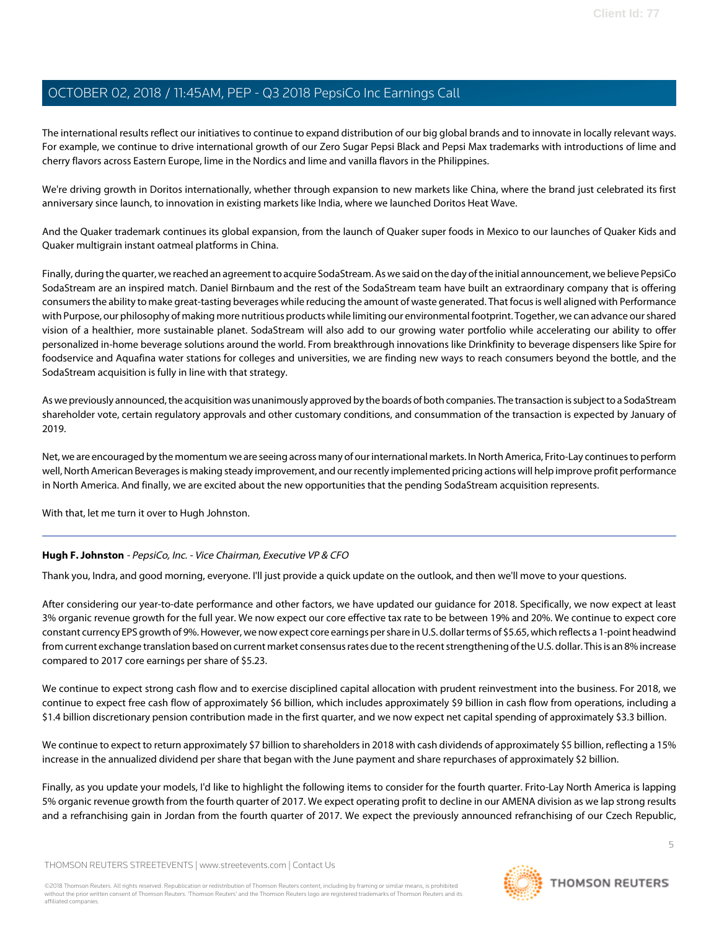The international results reflect our initiatives to continue to expand distribution of our big global brands and to innovate in locally relevant ways. For example, we continue to drive international growth of our Zero Sugar Pepsi Black and Pepsi Max trademarks with introductions of lime and cherry flavors across Eastern Europe, lime in the Nordics and lime and vanilla flavors in the Philippines.

We're driving growth in Doritos internationally, whether through expansion to new markets like China, where the brand just celebrated its first anniversary since launch, to innovation in existing markets like India, where we launched Doritos Heat Wave.

And the Quaker trademark continues its global expansion, from the launch of Quaker super foods in Mexico to our launches of Quaker Kids and Quaker multigrain instant oatmeal platforms in China.

Finally, during the quarter, we reached an agreement to acquire SodaStream. As we said on the day of the initial announcement, we believe PepsiCo SodaStream are an inspired match. Daniel Birnbaum and the rest of the SodaStream team have built an extraordinary company that is offering consumers the ability to make great-tasting beverages while reducing the amount of waste generated. That focus is well aligned with Performance with Purpose, our philosophy of making more nutritious products while limiting our environmental footprint. Together, we can advance our shared vision of a healthier, more sustainable planet. SodaStream will also add to our growing water portfolio while accelerating our ability to offer personalized in-home beverage solutions around the world. From breakthrough innovations like Drinkfinity to beverage dispensers like Spire for foodservice and Aquafina water stations for colleges and universities, we are finding new ways to reach consumers beyond the bottle, and the SodaStream acquisition is fully in line with that strategy.

As we previously announced, the acquisition was unanimously approved by the boards of both companies. The transaction is subject to a SodaStream shareholder vote, certain regulatory approvals and other customary conditions, and consummation of the transaction is expected by January of 2019.

Net, we are encouraged by the momentum we are seeing across many of our international markets. In North America, Frito-Lay continues to perform well, North American Beverages is making steady improvement, and our recently implemented pricing actions will help improve profit performance in North America. And finally, we are excited about the new opportunities that the pending SodaStream acquisition represents.

<span id="page-4-0"></span>With that, let me turn it over to Hugh Johnston.

# **Hugh F. Johnston** - PepsiCo, Inc. - Vice Chairman, Executive VP & CFO

Thank you, Indra, and good morning, everyone. I'll just provide a quick update on the outlook, and then we'll move to your questions.

After considering our year-to-date performance and other factors, we have updated our guidance for 2018. Specifically, we now expect at least 3% organic revenue growth for the full year. We now expect our core effective tax rate to be between 19% and 20%. We continue to expect core constant currency EPS growth of 9%. However, we now expect core earnings per share in U.S. dollar terms of \$5.65, which reflects a 1-point headwind from current exchange translation based on current market consensus rates due to the recent strengthening of the U.S. dollar. This is an 8% increase compared to 2017 core earnings per share of \$5.23.

We continue to expect strong cash flow and to exercise disciplined capital allocation with prudent reinvestment into the business. For 2018, we continue to expect free cash flow of approximately \$6 billion, which includes approximately \$9 billion in cash flow from operations, including a \$1.4 billion discretionary pension contribution made in the first quarter, and we now expect net capital spending of approximately \$3.3 billion.

We continue to expect to return approximately \$7 billion to shareholders in 2018 with cash dividends of approximately \$5 billion, reflecting a 15% increase in the annualized dividend per share that began with the June payment and share repurchases of approximately \$2 billion.

Finally, as you update your models, I'd like to highlight the following items to consider for the fourth quarter. Frito-Lay North America is lapping 5% organic revenue growth from the fourth quarter of 2017. We expect operating profit to decline in our AMENA division as we lap strong results and a refranchising gain in Jordan from the fourth quarter of 2017. We expect the previously announced refranchising of our Czech Republic,

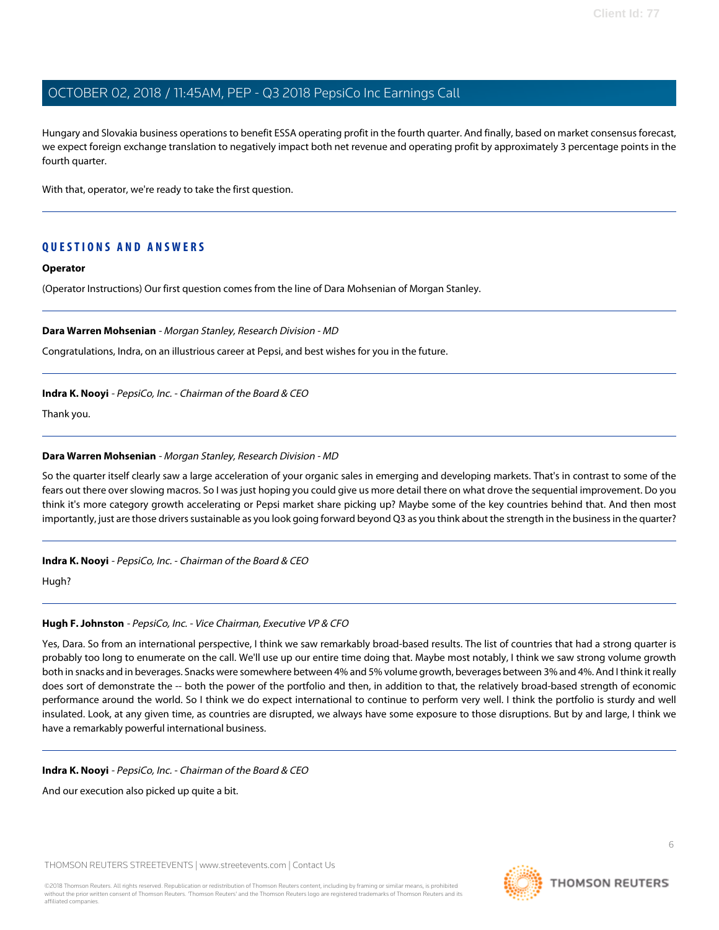Hungary and Slovakia business operations to benefit ESSA operating profit in the fourth quarter. And finally, based on market consensus forecast, we expect foreign exchange translation to negatively impact both net revenue and operating profit by approximately 3 percentage points in the fourth quarter.

With that, operator, we're ready to take the first question.

# **QUESTIONS AND ANSWERS**

#### **Operator**

<span id="page-5-0"></span>(Operator Instructions) Our first question comes from the line of Dara Mohsenian of Morgan Stanley.

#### **Dara Warren Mohsenian** - Morgan Stanley, Research Division - MD

Congratulations, Indra, on an illustrious career at Pepsi, and best wishes for you in the future.

#### **Indra K. Nooyi** - PepsiCo, Inc. - Chairman of the Board & CEO

Thank you.

#### **Dara Warren Mohsenian** - Morgan Stanley, Research Division - MD

So the quarter itself clearly saw a large acceleration of your organic sales in emerging and developing markets. That's in contrast to some of the fears out there over slowing macros. So I was just hoping you could give us more detail there on what drove the sequential improvement. Do you think it's more category growth accelerating or Pepsi market share picking up? Maybe some of the key countries behind that. And then most importantly, just are those drivers sustainable as you look going forward beyond Q3 as you think about the strength in the business in the quarter?

#### **Indra K. Nooyi** - PepsiCo, Inc. - Chairman of the Board & CEO

Hugh?

#### **Hugh F. Johnston** - PepsiCo, Inc. - Vice Chairman, Executive VP & CFO

Yes, Dara. So from an international perspective, I think we saw remarkably broad-based results. The list of countries that had a strong quarter is probably too long to enumerate on the call. We'll use up our entire time doing that. Maybe most notably, I think we saw strong volume growth both in snacks and in beverages. Snacks were somewhere between 4% and 5% volume growth, beverages between 3% and 4%. And I think it really does sort of demonstrate the -- both the power of the portfolio and then, in addition to that, the relatively broad-based strength of economic performance around the world. So I think we do expect international to continue to perform very well. I think the portfolio is sturdy and well insulated. Look, at any given time, as countries are disrupted, we always have some exposure to those disruptions. But by and large, I think we have a remarkably powerful international business.

#### **Indra K. Nooyi** - PepsiCo, Inc. - Chairman of the Board & CEO

And our execution also picked up quite a bit.

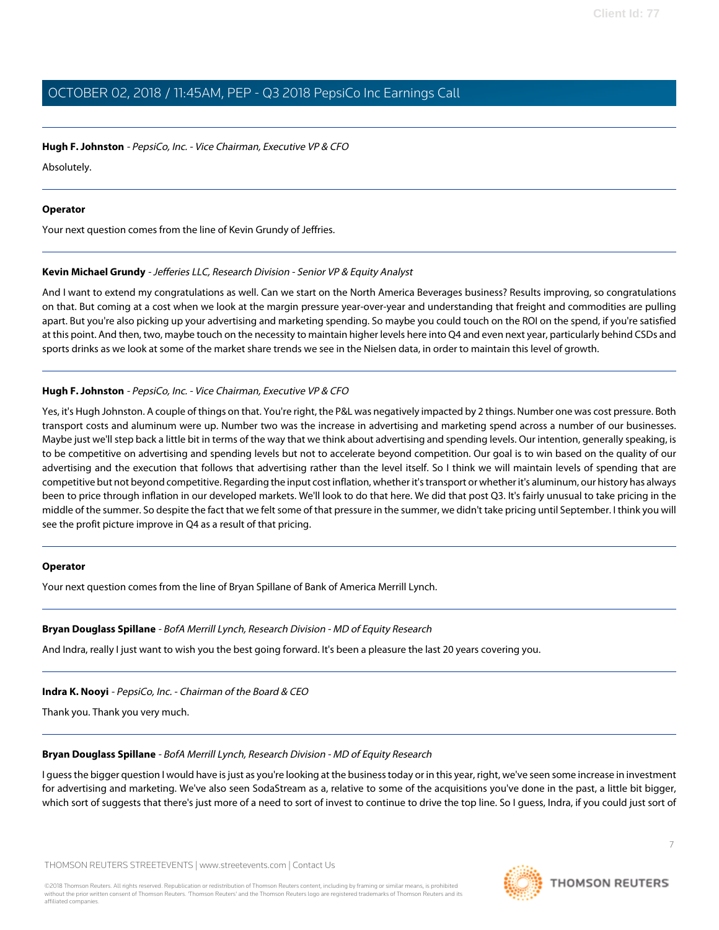#### **Hugh F. Johnston** - PepsiCo, Inc. - Vice Chairman, Executive VP & CFO

Absolutely.

#### **Operator**

<span id="page-6-1"></span>Your next question comes from the line of Kevin Grundy of Jeffries.

### **Kevin Michael Grundy** - Jefferies LLC, Research Division - Senior VP & Equity Analyst

And I want to extend my congratulations as well. Can we start on the North America Beverages business? Results improving, so congratulations on that. But coming at a cost when we look at the margin pressure year-over-year and understanding that freight and commodities are pulling apart. But you're also picking up your advertising and marketing spending. So maybe you could touch on the ROI on the spend, if you're satisfied at this point. And then, two, maybe touch on the necessity to maintain higher levels here into Q4 and even next year, particularly behind CSDs and sports drinks as we look at some of the market share trends we see in the Nielsen data, in order to maintain this level of growth.

# **Hugh F. Johnston** - PepsiCo, Inc. - Vice Chairman, Executive VP & CFO

Yes, it's Hugh Johnston. A couple of things on that. You're right, the P&L was negatively impacted by 2 things. Number one was cost pressure. Both transport costs and aluminum were up. Number two was the increase in advertising and marketing spend across a number of our businesses. Maybe just we'll step back a little bit in terms of the way that we think about advertising and spending levels. Our intention, generally speaking, is to be competitive on advertising and spending levels but not to accelerate beyond competition. Our goal is to win based on the quality of our advertising and the execution that follows that advertising rather than the level itself. So I think we will maintain levels of spending that are competitive but not beyond competitive. Regarding the input cost inflation, whether it's transport or whether it's aluminum, our history has always been to price through inflation in our developed markets. We'll look to do that here. We did that post Q3. It's fairly unusual to take pricing in the middle of the summer. So despite the fact that we felt some of that pressure in the summer, we didn't take pricing until September. I think you will see the profit picture improve in Q4 as a result of that pricing.

#### <span id="page-6-0"></span>**Operator**

Your next question comes from the line of Bryan Spillane of Bank of America Merrill Lynch.

#### **Bryan Douglass Spillane** - BofA Merrill Lynch, Research Division - MD of Equity Research

And Indra, really I just want to wish you the best going forward. It's been a pleasure the last 20 years covering you.

#### **Indra K. Nooyi** - PepsiCo, Inc. - Chairman of the Board & CEO

Thank you. Thank you very much.

#### **Bryan Douglass Spillane** - BofA Merrill Lynch, Research Division - MD of Equity Research

I guess the bigger question I would have is just as you're looking at the business today or in this year, right, we've seen some increase in investment for advertising and marketing. We've also seen SodaStream as a, relative to some of the acquisitions you've done in the past, a little bit bigger, which sort of suggests that there's just more of a need to sort of invest to continue to drive the top line. So I guess, Indra, if you could just sort of

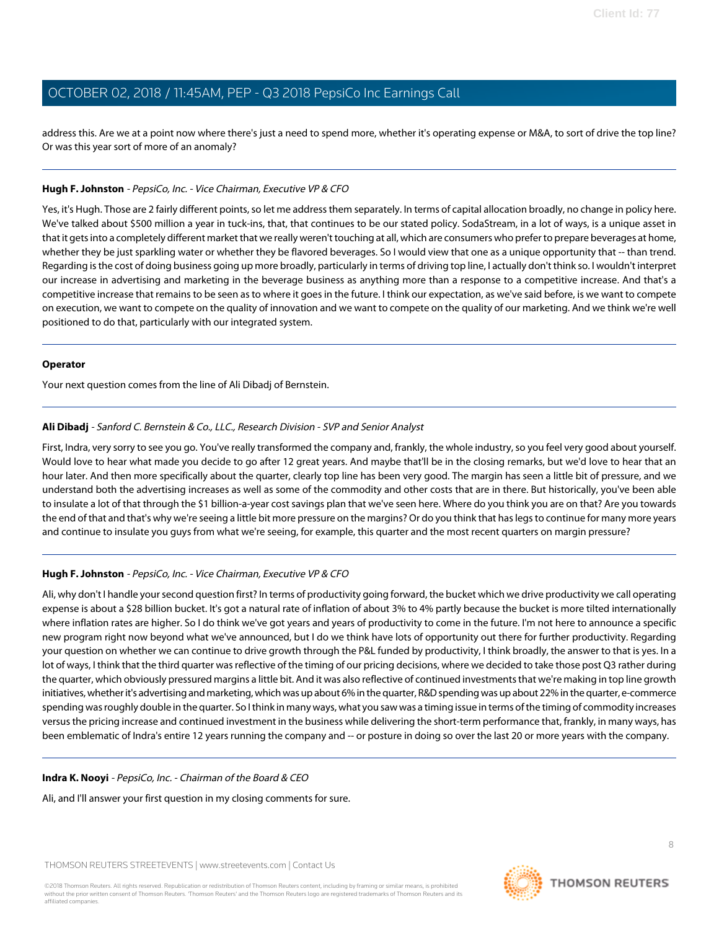address this. Are we at a point now where there's just a need to spend more, whether it's operating expense or M&A, to sort of drive the top line? Or was this year sort of more of an anomaly?

#### **Hugh F. Johnston** - PepsiCo, Inc. - Vice Chairman, Executive VP & CFO

Yes, it's Hugh. Those are 2 fairly different points, so let me address them separately. In terms of capital allocation broadly, no change in policy here. We've talked about \$500 million a year in tuck-ins, that, that continues to be our stated policy. SodaStream, in a lot of ways, is a unique asset in that it gets into a completely different market that we really weren't touching at all, which are consumers who prefer to prepare beverages at home, whether they be just sparkling water or whether they be flavored beverages. So I would view that one as a unique opportunity that -- than trend. Regarding is the cost of doing business going up more broadly, particularly in terms of driving top line, I actually don't think so. I wouldn't interpret our increase in advertising and marketing in the beverage business as anything more than a response to a competitive increase. And that's a competitive increase that remains to be seen as to where it goes in the future. I think our expectation, as we've said before, is we want to compete on execution, we want to compete on the quality of innovation and we want to compete on the quality of our marketing. And we think we're well positioned to do that, particularly with our integrated system.

#### **Operator**

<span id="page-7-0"></span>Your next question comes from the line of Ali Dibadj of Bernstein.

### **Ali Dibadj** - Sanford C. Bernstein & Co., LLC., Research Division - SVP and Senior Analyst

First, Indra, very sorry to see you go. You've really transformed the company and, frankly, the whole industry, so you feel very good about yourself. Would love to hear what made you decide to go after 12 great years. And maybe that'll be in the closing remarks, but we'd love to hear that an hour later. And then more specifically about the quarter, clearly top line has been very good. The margin has seen a little bit of pressure, and we understand both the advertising increases as well as some of the commodity and other costs that are in there. But historically, you've been able to insulate a lot of that through the \$1 billion-a-year cost savings plan that we've seen here. Where do you think you are on that? Are you towards the end of that and that's why we're seeing a little bit more pressure on the margins? Or do you think that has legs to continue for many more years and continue to insulate you guys from what we're seeing, for example, this quarter and the most recent quarters on margin pressure?

# **Hugh F. Johnston** - PepsiCo, Inc. - Vice Chairman, Executive VP & CFO

Ali, why don't I handle your second question first? In terms of productivity going forward, the bucket which we drive productivity we call operating expense is about a \$28 billion bucket. It's got a natural rate of inflation of about 3% to 4% partly because the bucket is more tilted internationally where inflation rates are higher. So I do think we've got years and years of productivity to come in the future. I'm not here to announce a specific new program right now beyond what we've announced, but I do we think have lots of opportunity out there for further productivity. Regarding your question on whether we can continue to drive growth through the P&L funded by productivity, I think broadly, the answer to that is yes. In a lot of ways, I think that the third quarter was reflective of the timing of our pricing decisions, where we decided to take those post Q3 rather during the quarter, which obviously pressured margins a little bit. And it was also reflective of continued investments that we're making in top line growth initiatives, whether it's advertising and marketing, which was up about 6% in the quarter, R&D spending was up about 22% in the quarter, e-commerce spending was roughly double in the quarter. So I think in many ways, what you saw was a timing issue in terms of the timing of commodity increases versus the pricing increase and continued investment in the business while delivering the short-term performance that, frankly, in many ways, has been emblematic of Indra's entire 12 years running the company and -- or posture in doing so over the last 20 or more years with the company.

#### **Indra K. Nooyi** - PepsiCo, Inc. - Chairman of the Board & CEO

Ali, and I'll answer your first question in my closing comments for sure.

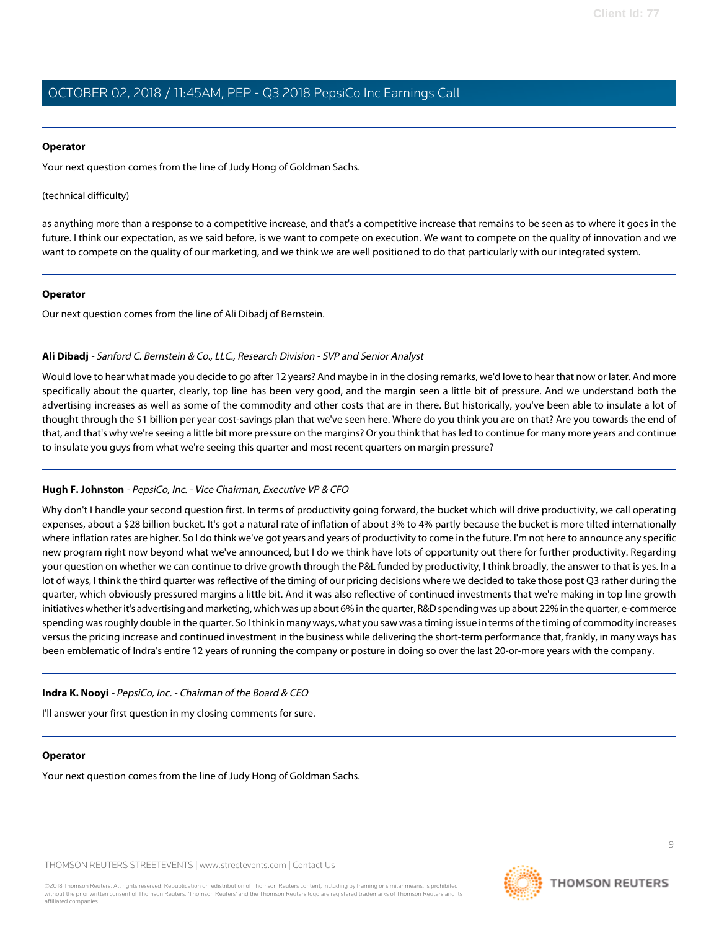#### **Operator**

Your next question comes from the line of Judy Hong of Goldman Sachs.

(technical difficulty)

as anything more than a response to a competitive increase, and that's a competitive increase that remains to be seen as to where it goes in the future. I think our expectation, as we said before, is we want to compete on execution. We want to compete on the quality of innovation and we want to compete on the quality of our marketing, and we think we are well positioned to do that particularly with our integrated system.

#### **Operator**

Our next question comes from the line of Ali Dibadj of Bernstein.

#### **Ali Dibadj** - Sanford C. Bernstein & Co., LLC., Research Division - SVP and Senior Analyst

Would love to hear what made you decide to go after 12 years? And maybe in in the closing remarks, we'd love to hear that now or later. And more specifically about the quarter, clearly, top line has been very good, and the margin seen a little bit of pressure. And we understand both the advertising increases as well as some of the commodity and other costs that are in there. But historically, you've been able to insulate a lot of thought through the \$1 billion per year cost-savings plan that we've seen here. Where do you think you are on that? Are you towards the end of that, and that's why we're seeing a little bit more pressure on the margins? Or you think that has led to continue for many more years and continue to insulate you guys from what we're seeing this quarter and most recent quarters on margin pressure?

#### **Hugh F. Johnston** - PepsiCo, Inc. - Vice Chairman, Executive VP & CFO

Why don't I handle your second question first. In terms of productivity going forward, the bucket which will drive productivity, we call operating expenses, about a \$28 billion bucket. It's got a natural rate of inflation of about 3% to 4% partly because the bucket is more tilted internationally where inflation rates are higher. So I do think we've got years and years of productivity to come in the future. I'm not here to announce any specific new program right now beyond what we've announced, but I do we think have lots of opportunity out there for further productivity. Regarding your question on whether we can continue to drive growth through the P&L funded by productivity, I think broadly, the answer to that is yes. In a lot of ways, I think the third quarter was reflective of the timing of our pricing decisions where we decided to take those post Q3 rather during the quarter, which obviously pressured margins a little bit. And it was also reflective of continued investments that we're making in top line growth initiatives whether it's advertising and marketing, which was up about 6% in the quarter, R&D spending was up about 22% in the quarter, e-commerce spending was roughly double in the quarter. So I think in many ways, what you saw was a timing issue in terms of the timing of commodity increases versus the pricing increase and continued investment in the business while delivering the short-term performance that, frankly, in many ways has been emblematic of Indra's entire 12 years of running the company or posture in doing so over the last 20-or-more years with the company.

#### **Indra K. Nooyi** - PepsiCo, Inc. - Chairman of the Board & CEO

I'll answer your first question in my closing comments for sure.

#### **Operator**

Your next question comes from the line of Judy Hong of Goldman Sachs.

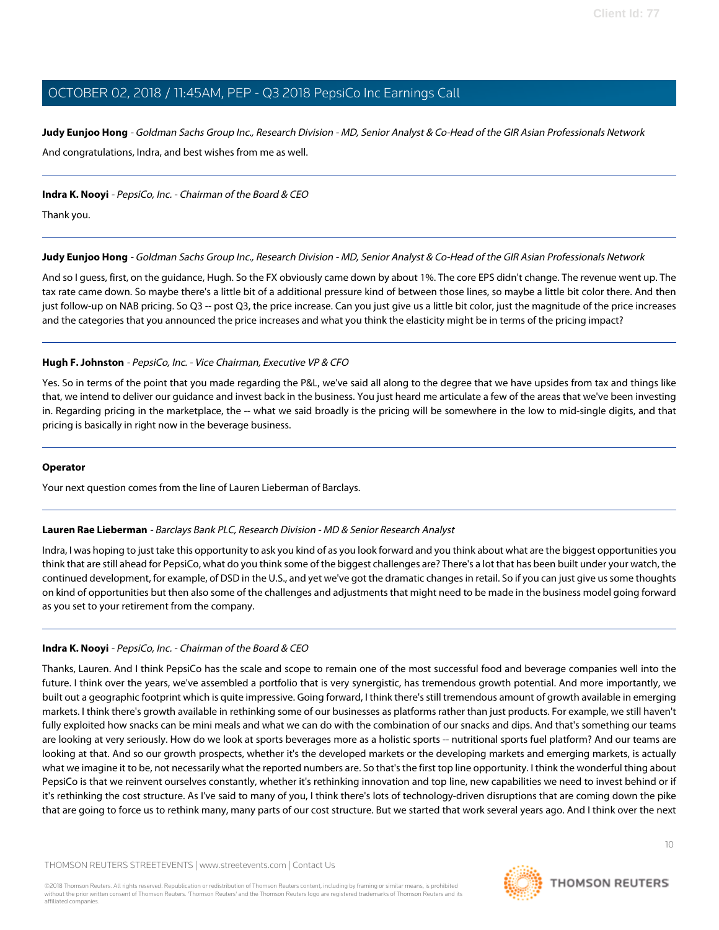<span id="page-9-0"></span>**Judy Eunjoo Hong** - Goldman Sachs Group Inc., Research Division - MD, Senior Analyst & Co-Head of the GIR Asian Professionals Network And congratulations, Indra, and best wishes from me as well.

#### **Indra K. Nooyi** - PepsiCo, Inc. - Chairman of the Board & CEO

Thank you.

### **Judy Eunjoo Hong** - Goldman Sachs Group Inc., Research Division - MD, Senior Analyst & Co-Head of the GIR Asian Professionals Network

And so I guess, first, on the guidance, Hugh. So the FX obviously came down by about 1%. The core EPS didn't change. The revenue went up. The tax rate came down. So maybe there's a little bit of a additional pressure kind of between those lines, so maybe a little bit color there. And then just follow-up on NAB pricing. So Q3 -- post Q3, the price increase. Can you just give us a little bit color, just the magnitude of the price increases and the categories that you announced the price increases and what you think the elasticity might be in terms of the pricing impact?

### **Hugh F. Johnston** - PepsiCo, Inc. - Vice Chairman, Executive VP & CFO

Yes. So in terms of the point that you made regarding the P&L, we've said all along to the degree that we have upsides from tax and things like that, we intend to deliver our guidance and invest back in the business. You just heard me articulate a few of the areas that we've been investing in. Regarding pricing in the marketplace, the -- what we said broadly is the pricing will be somewhere in the low to mid-single digits, and that pricing is basically in right now in the beverage business.

#### <span id="page-9-1"></span>**Operator**

Your next question comes from the line of Lauren Lieberman of Barclays.

#### **Lauren Rae Lieberman** - Barclays Bank PLC, Research Division - MD & Senior Research Analyst

Indra, I was hoping to just take this opportunity to ask you kind of as you look forward and you think about what are the biggest opportunities you think that are still ahead for PepsiCo, what do you think some of the biggest challenges are? There's a lot that has been built under your watch, the continued development, for example, of DSD in the U.S., and yet we've got the dramatic changes in retail. So if you can just give us some thoughts on kind of opportunities but then also some of the challenges and adjustments that might need to be made in the business model going forward as you set to your retirement from the company.

#### **Indra K. Nooyi** - PepsiCo, Inc. - Chairman of the Board & CEO

Thanks, Lauren. And I think PepsiCo has the scale and scope to remain one of the most successful food and beverage companies well into the future. I think over the years, we've assembled a portfolio that is very synergistic, has tremendous growth potential. And more importantly, we built out a geographic footprint which is quite impressive. Going forward, I think there's still tremendous amount of growth available in emerging markets. I think there's growth available in rethinking some of our businesses as platforms rather than just products. For example, we still haven't fully exploited how snacks can be mini meals and what we can do with the combination of our snacks and dips. And that's something our teams are looking at very seriously. How do we look at sports beverages more as a holistic sports -- nutritional sports fuel platform? And our teams are looking at that. And so our growth prospects, whether it's the developed markets or the developing markets and emerging markets, is actually what we imagine it to be, not necessarily what the reported numbers are. So that's the first top line opportunity. I think the wonderful thing about PepsiCo is that we reinvent ourselves constantly, whether it's rethinking innovation and top line, new capabilities we need to invest behind or if it's rethinking the cost structure. As I've said to many of you, I think there's lots of technology-driven disruptions that are coming down the pike that are going to force us to rethink many, many parts of our cost structure. But we started that work several years ago. And I think over the next

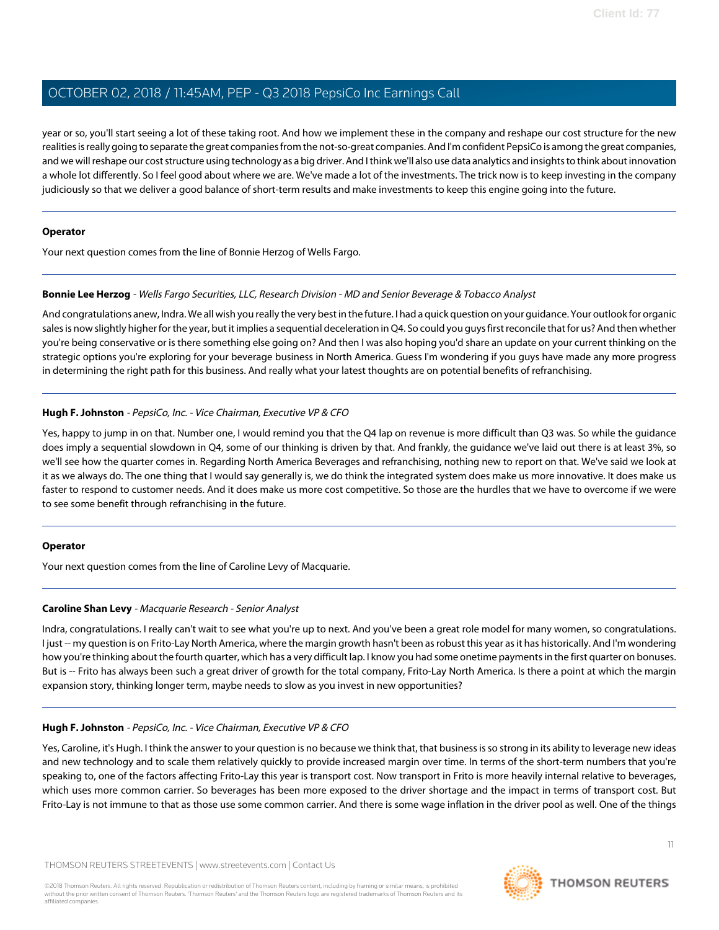year or so, you'll start seeing a lot of these taking root. And how we implement these in the company and reshape our cost structure for the new realities is really going to separate the great companies from the not-so-great companies. And I'm confident PepsiCo is among the great companies, and we will reshape our cost structure using technology as a big driver. And I think we'll also use data analytics and insights to think about innovation a whole lot differently. So I feel good about where we are. We've made a lot of the investments. The trick now is to keep investing in the company judiciously so that we deliver a good balance of short-term results and make investments to keep this engine going into the future.

#### **Operator**

<span id="page-10-0"></span>Your next question comes from the line of Bonnie Herzog of Wells Fargo.

#### **Bonnie Lee Herzog** - Wells Fargo Securities, LLC, Research Division - MD and Senior Beverage & Tobacco Analyst

And congratulations anew, Indra. We all wish you really the very best in the future. I had a quick question on your guidance. Your outlook for organic sales is now slightly higher for the year, but it implies a sequential deceleration in Q4. So could you guys first reconcile that for us? And then whether you're being conservative or is there something else going on? And then I was also hoping you'd share an update on your current thinking on the strategic options you're exploring for your beverage business in North America. Guess I'm wondering if you guys have made any more progress in determining the right path for this business. And really what your latest thoughts are on potential benefits of refranchising.

### **Hugh F. Johnston** - PepsiCo, Inc. - Vice Chairman, Executive VP & CFO

Yes, happy to jump in on that. Number one, I would remind you that the Q4 lap on revenue is more difficult than Q3 was. So while the guidance does imply a sequential slowdown in Q4, some of our thinking is driven by that. And frankly, the guidance we've laid out there is at least 3%, so we'll see how the quarter comes in. Regarding North America Beverages and refranchising, nothing new to report on that. We've said we look at it as we always do. The one thing that I would say generally is, we do think the integrated system does make us more innovative. It does make us faster to respond to customer needs. And it does make us more cost competitive. So those are the hurdles that we have to overcome if we were to see some benefit through refranchising in the future.

#### <span id="page-10-1"></span>**Operator**

Your next question comes from the line of Caroline Levy of Macquarie.

#### **Caroline Shan Levy** - Macquarie Research - Senior Analyst

Indra, congratulations. I really can't wait to see what you're up to next. And you've been a great role model for many women, so congratulations. I just -- my question is on Frito-Lay North America, where the margin growth hasn't been as robust this year as it has historically. And I'm wondering how you're thinking about the fourth quarter, which has a very difficult lap. I know you had some onetime payments in the first quarter on bonuses. But is -- Frito has always been such a great driver of growth for the total company, Frito-Lay North America. Is there a point at which the margin expansion story, thinking longer term, maybe needs to slow as you invest in new opportunities?

#### **Hugh F. Johnston** - PepsiCo, Inc. - Vice Chairman, Executive VP & CFO

Yes, Caroline, it's Hugh. I think the answer to your question is no because we think that, that business is so strong in its ability to leverage new ideas and new technology and to scale them relatively quickly to provide increased margin over time. In terms of the short-term numbers that you're speaking to, one of the factors affecting Frito-Lay this year is transport cost. Now transport in Frito is more heavily internal relative to beverages, which uses more common carrier. So beverages has been more exposed to the driver shortage and the impact in terms of transport cost. But Frito-Lay is not immune to that as those use some common carrier. And there is some wage inflation in the driver pool as well. One of the things

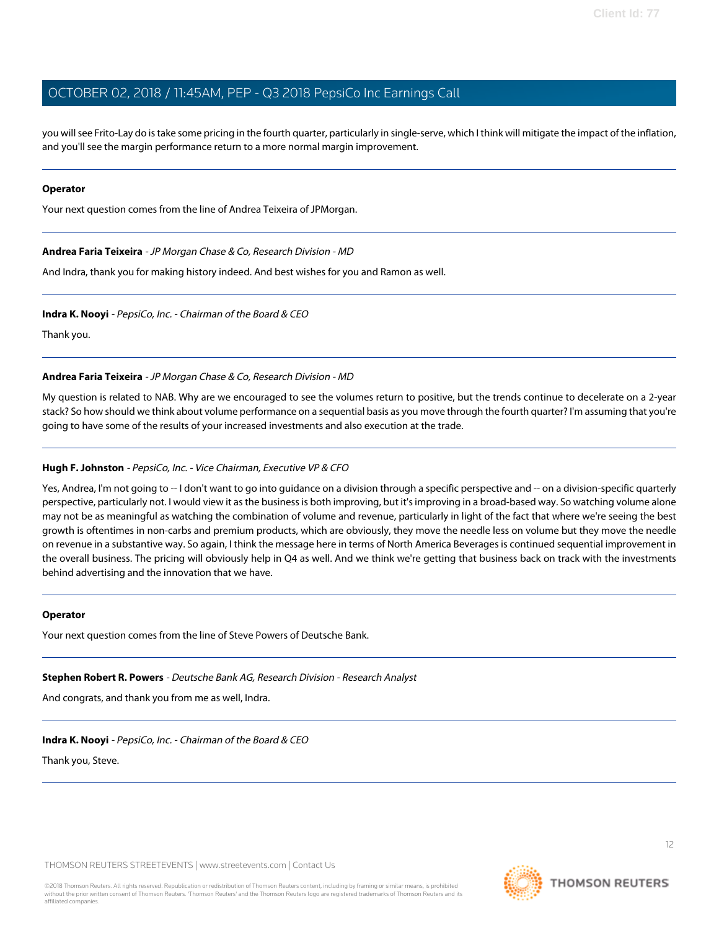you will see Frito-Lay do is take some pricing in the fourth quarter, particularly in single-serve, which I think will mitigate the impact of the inflation, and you'll see the margin performance return to a more normal margin improvement.

#### **Operator**

<span id="page-11-0"></span>Your next question comes from the line of Andrea Teixeira of JPMorgan.

#### **Andrea Faria Teixeira** - JP Morgan Chase & Co, Research Division - MD

And Indra, thank you for making history indeed. And best wishes for you and Ramon as well.

#### **Indra K. Nooyi** - PepsiCo, Inc. - Chairman of the Board & CEO

Thank you.

**Andrea Faria Teixeira** - JP Morgan Chase & Co, Research Division - MD

My question is related to NAB. Why are we encouraged to see the volumes return to positive, but the trends continue to decelerate on a 2-year stack? So how should we think about volume performance on a sequential basis as you move through the fourth quarter? I'm assuming that you're going to have some of the results of your increased investments and also execution at the trade.

#### **Hugh F. Johnston** - PepsiCo, Inc. - Vice Chairman, Executive VP & CFO

Yes, Andrea, I'm not going to -- I don't want to go into guidance on a division through a specific perspective and -- on a division-specific quarterly perspective, particularly not. I would view it as the business is both improving, but it's improving in a broad-based way. So watching volume alone may not be as meaningful as watching the combination of volume and revenue, particularly in light of the fact that where we're seeing the best growth is oftentimes in non-carbs and premium products, which are obviously, they move the needle less on volume but they move the needle on revenue in a substantive way. So again, I think the message here in terms of North America Beverages is continued sequential improvement in the overall business. The pricing will obviously help in Q4 as well. And we think we're getting that business back on track with the investments behind advertising and the innovation that we have.

#### <span id="page-11-1"></span>**Operator**

Your next question comes from the line of Steve Powers of Deutsche Bank.

#### **Stephen Robert R. Powers** - Deutsche Bank AG, Research Division - Research Analyst

And congrats, and thank you from me as well, Indra.

#### **Indra K. Nooyi** - PepsiCo, Inc. - Chairman of the Board & CEO

Thank you, Steve.

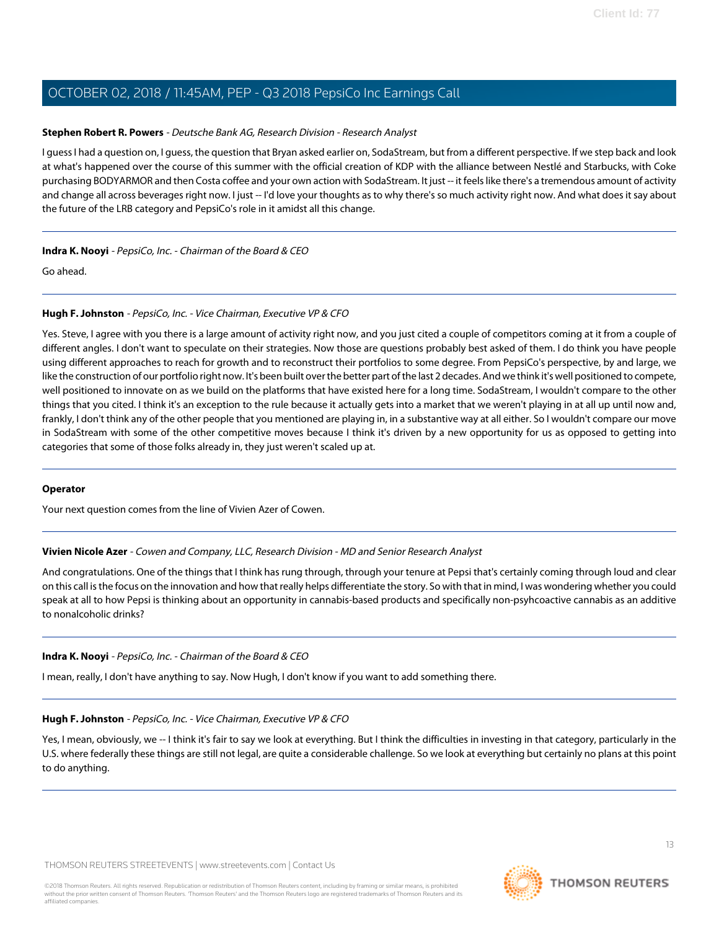### **Stephen Robert R. Powers** - Deutsche Bank AG, Research Division - Research Analyst

I guess I had a question on, I guess, the question that Bryan asked earlier on, SodaStream, but from a different perspective. If we step back and look at what's happened over the course of this summer with the official creation of KDP with the alliance between Nestlé and Starbucks, with Coke purchasing BODYARMOR and then Costa coffee and your own action with SodaStream. It just -- it feels like there's a tremendous amount of activity and change all across beverages right now. I just -- I'd love your thoughts as to why there's so much activity right now. And what does it say about the future of the LRB category and PepsiCo's role in it amidst all this change.

### **Indra K. Nooyi** - PepsiCo, Inc. - Chairman of the Board & CEO

Go ahead.

### **Hugh F. Johnston** - PepsiCo, Inc. - Vice Chairman, Executive VP & CFO

Yes. Steve, I agree with you there is a large amount of activity right now, and you just cited a couple of competitors coming at it from a couple of different angles. I don't want to speculate on their strategies. Now those are questions probably best asked of them. I do think you have people using different approaches to reach for growth and to reconstruct their portfolios to some degree. From PepsiCo's perspective, by and large, we like the construction of our portfolio right now. It's been built over the better part of the last 2 decades. And we think it's well positioned to compete, well positioned to innovate on as we build on the platforms that have existed here for a long time. SodaStream, I wouldn't compare to the other things that you cited. I think it's an exception to the rule because it actually gets into a market that we weren't playing in at all up until now and, frankly, I don't think any of the other people that you mentioned are playing in, in a substantive way at all either. So I wouldn't compare our move in SodaStream with some of the other competitive moves because I think it's driven by a new opportunity for us as opposed to getting into categories that some of those folks already in, they just weren't scaled up at.

#### <span id="page-12-0"></span>**Operator**

Your next question comes from the line of Vivien Azer of Cowen.

#### **Vivien Nicole Azer** - Cowen and Company, LLC, Research Division - MD and Senior Research Analyst

And congratulations. One of the things that I think has rung through, through your tenure at Pepsi that's certainly coming through loud and clear on this call is the focus on the innovation and how that really helps differentiate the story. So with that in mind, I was wondering whether you could speak at all to how Pepsi is thinking about an opportunity in cannabis-based products and specifically non-psyhcoactive cannabis as an additive to nonalcoholic drinks?

#### **Indra K. Nooyi** - PepsiCo, Inc. - Chairman of the Board & CEO

I mean, really, I don't have anything to say. Now Hugh, I don't know if you want to add something there.

#### **Hugh F. Johnston** - PepsiCo, Inc. - Vice Chairman, Executive VP & CFO

Yes, I mean, obviously, we -- I think it's fair to say we look at everything. But I think the difficulties in investing in that category, particularly in the U.S. where federally these things are still not legal, are quite a considerable challenge. So we look at everything but certainly no plans at this point to do anything.

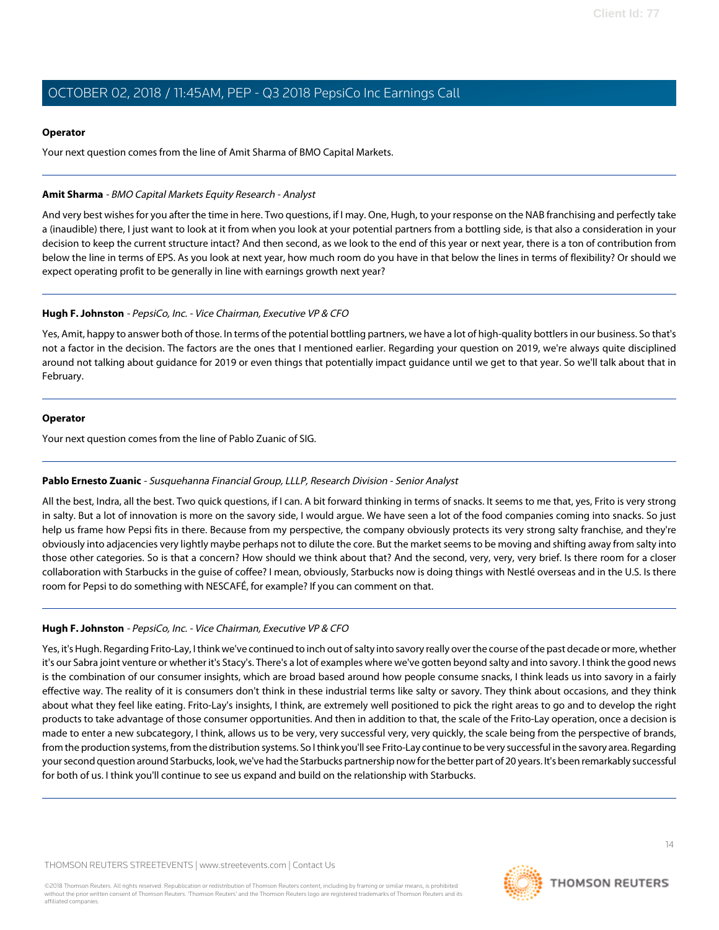#### **Operator**

Your next question comes from the line of Amit Sharma of BMO Capital Markets.

### <span id="page-13-0"></span>**Amit Sharma** - BMO Capital Markets Equity Research - Analyst

And very best wishes for you after the time in here. Two questions, if I may. One, Hugh, to your response on the NAB franchising and perfectly take a (inaudible) there, I just want to look at it from when you look at your potential partners from a bottling side, is that also a consideration in your decision to keep the current structure intact? And then second, as we look to the end of this year or next year, there is a ton of contribution from below the line in terms of EPS. As you look at next year, how much room do you have in that below the lines in terms of flexibility? Or should we expect operating profit to be generally in line with earnings growth next year?

### **Hugh F. Johnston** - PepsiCo, Inc. - Vice Chairman, Executive VP & CFO

Yes, Amit, happy to answer both of those. In terms of the potential bottling partners, we have a lot of high-quality bottlers in our business. So that's not a factor in the decision. The factors are the ones that I mentioned earlier. Regarding your question on 2019, we're always quite disciplined around not talking about guidance for 2019 or even things that potentially impact guidance until we get to that year. So we'll talk about that in February.

### **Operator**

<span id="page-13-1"></span>Your next question comes from the line of Pablo Zuanic of SIG.

# **Pablo Ernesto Zuanic** - Susquehanna Financial Group, LLLP, Research Division - Senior Analyst

All the best, Indra, all the best. Two quick questions, if I can. A bit forward thinking in terms of snacks. It seems to me that, yes, Frito is very strong in salty. But a lot of innovation is more on the savory side, I would argue. We have seen a lot of the food companies coming into snacks. So just help us frame how Pepsi fits in there. Because from my perspective, the company obviously protects its very strong salty franchise, and they're obviously into adjacencies very lightly maybe perhaps not to dilute the core. But the market seems to be moving and shifting away from salty into those other categories. So is that a concern? How should we think about that? And the second, very, very, very brief. Is there room for a closer collaboration with Starbucks in the guise of coffee? I mean, obviously, Starbucks now is doing things with Nestlé overseas and in the U.S. Is there room for Pepsi to do something with NESCAFÉ, for example? If you can comment on that.

# **Hugh F. Johnston** - PepsiCo, Inc. - Vice Chairman, Executive VP & CFO

Yes, it's Hugh. Regarding Frito-Lay, I think we've continued to inch out of salty into savory really over the course of the past decade or more, whether it's our Sabra joint venture or whether it's Stacy's. There's a lot of examples where we've gotten beyond salty and into savory. I think the good news is the combination of our consumer insights, which are broad based around how people consume snacks, I think leads us into savory in a fairly effective way. The reality of it is consumers don't think in these industrial terms like salty or savory. They think about occasions, and they think about what they feel like eating. Frito-Lay's insights, I think, are extremely well positioned to pick the right areas to go and to develop the right products to take advantage of those consumer opportunities. And then in addition to that, the scale of the Frito-Lay operation, once a decision is made to enter a new subcategory, I think, allows us to be very, very successful very, very quickly, the scale being from the perspective of brands, from the production systems, from the distribution systems. So I think you'll see Frito-Lay continue to be very successful in the savory area. Regarding your second question around Starbucks, look, we've had the Starbucks partnership now for the better part of 20 years. It's been remarkably successful for both of us. I think you'll continue to see us expand and build on the relationship with Starbucks.

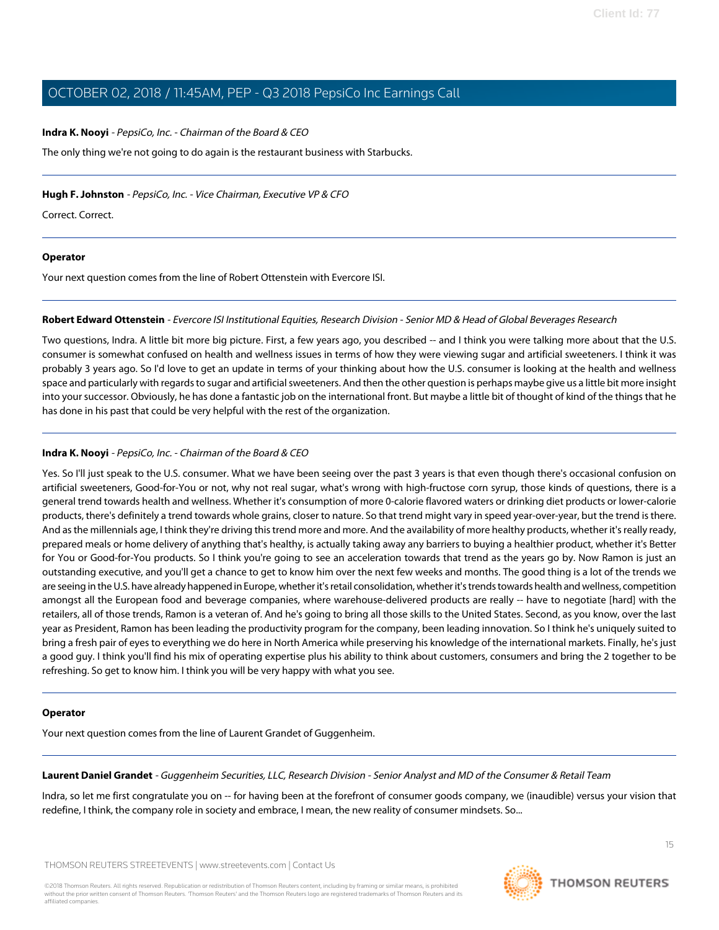#### **Indra K. Nooyi** - PepsiCo, Inc. - Chairman of the Board & CEO

The only thing we're not going to do again is the restaurant business with Starbucks.

#### **Hugh F. Johnston** - PepsiCo, Inc. - Vice Chairman, Executive VP & CFO

Correct. Correct.

### **Operator**

<span id="page-14-1"></span>Your next question comes from the line of Robert Ottenstein with Evercore ISI.

### **Robert Edward Ottenstein** - Evercore ISI Institutional Equities, Research Division - Senior MD & Head of Global Beverages Research

Two questions, Indra. A little bit more big picture. First, a few years ago, you described -- and I think you were talking more about that the U.S. consumer is somewhat confused on health and wellness issues in terms of how they were viewing sugar and artificial sweeteners. I think it was probably 3 years ago. So I'd love to get an update in terms of your thinking about how the U.S. consumer is looking at the health and wellness space and particularly with regards to sugar and artificial sweeteners. And then the other question is perhaps maybe give us a little bit more insight into your successor. Obviously, he has done a fantastic job on the international front. But maybe a little bit of thought of kind of the things that he has done in his past that could be very helpful with the rest of the organization.

# **Indra K. Nooyi** - PepsiCo, Inc. - Chairman of the Board & CEO

Yes. So I'll just speak to the U.S. consumer. What we have been seeing over the past 3 years is that even though there's occasional confusion on artificial sweeteners, Good-for-You or not, why not real sugar, what's wrong with high-fructose corn syrup, those kinds of questions, there is a general trend towards health and wellness. Whether it's consumption of more 0-calorie flavored waters or drinking diet products or lower-calorie products, there's definitely a trend towards whole grains, closer to nature. So that trend might vary in speed year-over-year, but the trend is there. And as the millennials age, I think they're driving this trend more and more. And the availability of more healthy products, whether it's really ready, prepared meals or home delivery of anything that's healthy, is actually taking away any barriers to buying a healthier product, whether it's Better for You or Good-for-You products. So I think you're going to see an acceleration towards that trend as the years go by. Now Ramon is just an outstanding executive, and you'll get a chance to get to know him over the next few weeks and months. The good thing is a lot of the trends we are seeing in the U.S. have already happened in Europe, whether it's retail consolidation, whether it's trends towards health and wellness, competition amongst all the European food and beverage companies, where warehouse-delivered products are really -- have to negotiate [hard] with the retailers, all of those trends, Ramon is a veteran of. And he's going to bring all those skills to the United States. Second, as you know, over the last year as President, Ramon has been leading the productivity program for the company, been leading innovation. So I think he's uniquely suited to bring a fresh pair of eyes to everything we do here in North America while preserving his knowledge of the international markets. Finally, he's just a good guy. I think you'll find his mix of operating expertise plus his ability to think about customers, consumers and bring the 2 together to be refreshing. So get to know him. I think you will be very happy with what you see.

#### <span id="page-14-0"></span>**Operator**

Your next question comes from the line of Laurent Grandet of Guggenheim.

**Laurent Daniel Grandet** - Guggenheim Securities, LLC, Research Division - Senior Analyst and MD of the Consumer & Retail Team

Indra, so let me first congratulate you on -- for having been at the forefront of consumer goods company, we (inaudible) versus your vision that redefine, I think, the company role in society and embrace, I mean, the new reality of consumer mindsets. So...

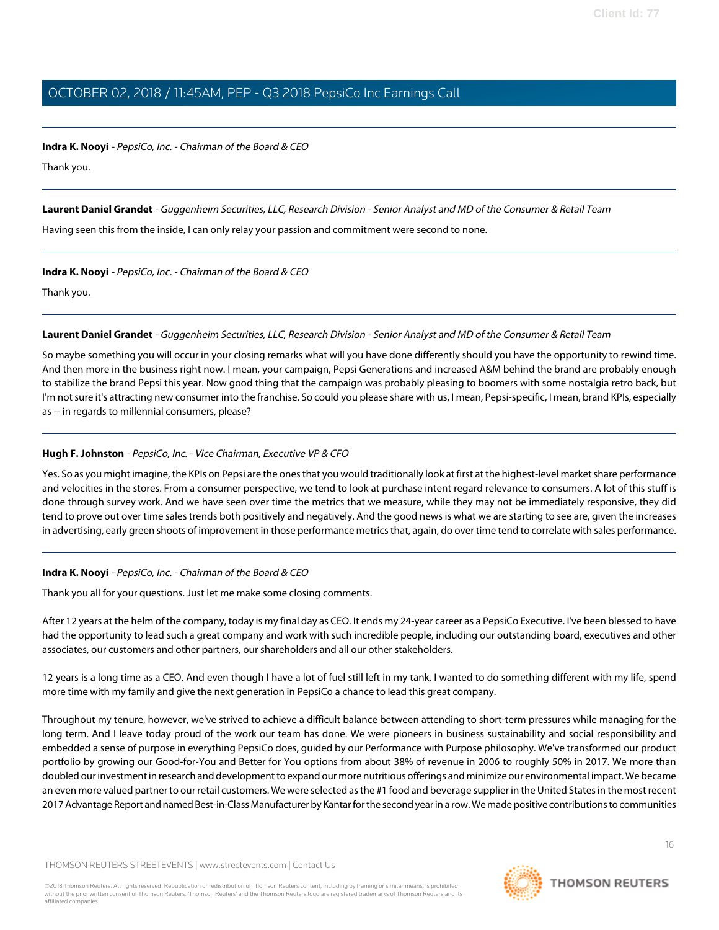#### **Indra K. Nooyi** - PepsiCo, Inc. - Chairman of the Board & CEO

Thank you.

**Laurent Daniel Grandet** - Guggenheim Securities, LLC, Research Division - Senior Analyst and MD of the Consumer & Retail Team

Having seen this from the inside, I can only relay your passion and commitment were second to none.

### **Indra K. Nooyi** - PepsiCo, Inc. - Chairman of the Board & CEO

Thank you.

# **Laurent Daniel Grandet** - Guggenheim Securities, LLC, Research Division - Senior Analyst and MD of the Consumer & Retail Team

So maybe something you will occur in your closing remarks what will you have done differently should you have the opportunity to rewind time. And then more in the business right now. I mean, your campaign, Pepsi Generations and increased A&M behind the brand are probably enough to stabilize the brand Pepsi this year. Now good thing that the campaign was probably pleasing to boomers with some nostalgia retro back, but I'm not sure it's attracting new consumer into the franchise. So could you please share with us, I mean, Pepsi-specific, I mean, brand KPIs, especially as -- in regards to millennial consumers, please?

# **Hugh F. Johnston** - PepsiCo, Inc. - Vice Chairman, Executive VP & CFO

Yes. So as you might imagine, the KPIs on Pepsi are the ones that you would traditionally look at first at the highest-level market share performance and velocities in the stores. From a consumer perspective, we tend to look at purchase intent regard relevance to consumers. A lot of this stuff is done through survey work. And we have seen over time the metrics that we measure, while they may not be immediately responsive, they did tend to prove out over time sales trends both positively and negatively. And the good news is what we are starting to see are, given the increases in advertising, early green shoots of improvement in those performance metrics that, again, do over time tend to correlate with sales performance.

# **Indra K. Nooyi** - PepsiCo, Inc. - Chairman of the Board & CEO

Thank you all for your questions. Just let me make some closing comments.

After 12 years at the helm of the company, today is my final day as CEO. It ends my 24-year career as a PepsiCo Executive. I've been blessed to have had the opportunity to lead such a great company and work with such incredible people, including our outstanding board, executives and other associates, our customers and other partners, our shareholders and all our other stakeholders.

12 years is a long time as a CEO. And even though I have a lot of fuel still left in my tank, I wanted to do something different with my life, spend more time with my family and give the next generation in PepsiCo a chance to lead this great company.

Throughout my tenure, however, we've strived to achieve a difficult balance between attending to short-term pressures while managing for the long term. And I leave today proud of the work our team has done. We were pioneers in business sustainability and social responsibility and embedded a sense of purpose in everything PepsiCo does, guided by our Performance with Purpose philosophy. We've transformed our product portfolio by growing our Good-for-You and Better for You options from about 38% of revenue in 2006 to roughly 50% in 2017. We more than doubled our investment in research and development to expand our more nutritious offerings and minimize our environmental impact. We became an even more valued partner to our retail customers. We were selected as the #1 food and beverage supplier in the United States in the most recent 2017 Advantage Report and named Best-in-Class Manufacturer by Kantar for the second year in a row. We made positive contributions to communities